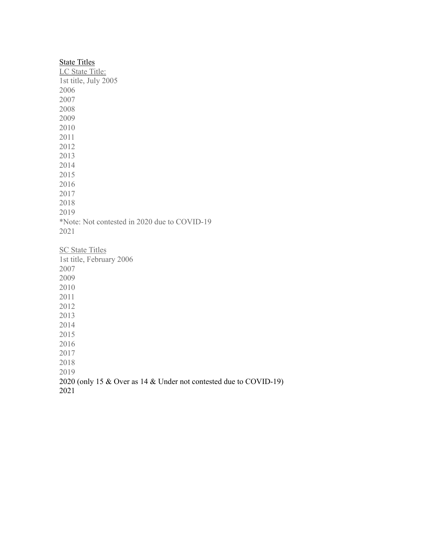| <b>State Titles</b>                          |
|----------------------------------------------|
| LC State Title:                              |
| 1st title, July 2005                         |
| 2006                                         |
| 2007                                         |
| 2008                                         |
| 2009                                         |
| 2010                                         |
| 2011                                         |
| 2012                                         |
| 2013                                         |
| 2014                                         |
| 2015                                         |
| 2016                                         |
| 2017                                         |
| 2018                                         |
| 2019                                         |
| *Note: Not contested in 2020 due to COVID-19 |
| 2021                                         |
|                                              |
| <b>SC State Titles</b>                       |
| 1st title, February 2006                     |
| 2007                                         |
| 2009                                         |
| 2010                                         |
| 2011                                         |
| 2012                                         |
| 2013                                         |
| 2014                                         |
| 2015                                         |
| 2016                                         |
| 2017                                         |

 2020 (only 15 & Over as 14 & Under not contested due to COVID-19)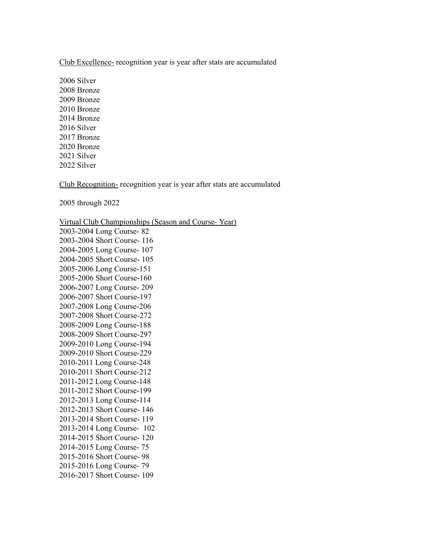Club Excellence- recognition year is year after stats are accumulated

2006 Silver 2008 Bronze 2009 Bronze 2010 Bronze 2014 Bronze 2016 Silver 2017 Bronze 2020 Bronze 2021 Silver 2022 Silver

Club Recognition- recognition year is year after stats are accumulated

2005 through 2022

Virtual Club Championships (Season and Course- Year)

2003-2004 Long Course- 82 2003-2004 Short Course- 116 2004-2005 Long Course- 107 2004-2005 Short Course- 105 2005-2006 Long Course-151 2005-2006 Short Course-160 2006-2007 Long Course- 209 2006-2007 Short Course-197 2007-2008 Long Course-206 2007-2008 Short Course-272 2008-2009 Long Course-188 2008-2009 Short Course-297 2009-2010 Long Course-194 2009-2010 Short Course-229 2010-2011 Long Course-248 2010-2011 Short Course-212 2011-2012 Long Course-148 2011-2012 Short Course-199 2012-2013 Long Course-114 2012-2013 Short Course- 146 2013-2014 Short Course- 119 2013-2014 Long Course- 102 2014-2015 Short Course- 120 2014-2015 Long Course- 75 2015-2016 Short Course- 98 2015-2016 Long Course- 79 2016-2017 Short Course- 109